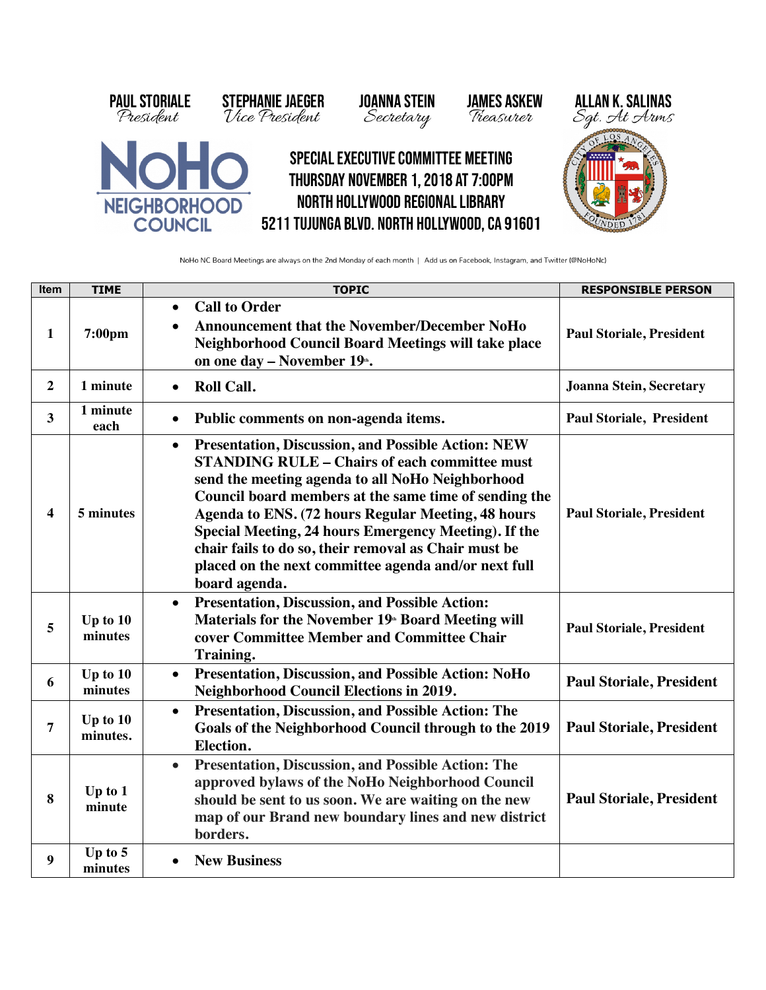

NoHo NC Board Meetings are always on the 2nd Monday of each month | Add us on Facebook, Instagram, and Twitter (@NoHoNc)

| Item                    | <b>TIME</b>          | <b>TOPIC</b>                                                                                                                                                                                                                                                                                                                                                                                                                                                                               | <b>RESPONSIBLE PERSON</b>       |
|-------------------------|----------------------|--------------------------------------------------------------------------------------------------------------------------------------------------------------------------------------------------------------------------------------------------------------------------------------------------------------------------------------------------------------------------------------------------------------------------------------------------------------------------------------------|---------------------------------|
| 1                       | 7:00pm               | <b>Call to Order</b><br>$\bullet$<br><b>Announcement that the November/December NoHo</b><br>$\bullet$<br>Neighborhood Council Board Meetings will take place<br>on one day - November 19 <sup>th</sup> .                                                                                                                                                                                                                                                                                   | <b>Paul Storiale, President</b> |
| $\overline{2}$          | 1 minute             | <b>Roll Call.</b><br>$\bullet$                                                                                                                                                                                                                                                                                                                                                                                                                                                             | Joanna Stein, Secretary         |
| 3                       | 1 minute<br>each     | Public comments on non-agenda items.<br>$\bullet$                                                                                                                                                                                                                                                                                                                                                                                                                                          | <b>Paul Storiale, President</b> |
| $\overline{\mathbf{4}}$ | 5 minutes            | <b>Presentation, Discussion, and Possible Action: NEW</b><br>$\bullet$<br><b>STANDING RULE - Chairs of each committee must</b><br>send the meeting agenda to all NoHo Neighborhood<br>Council board members at the same time of sending the<br>Agenda to ENS. (72 hours Regular Meeting, 48 hours<br>Special Meeting, 24 hours Emergency Meeting). If the<br>chair fails to do so, their removal as Chair must be<br>placed on the next committee agenda and/or next full<br>board agenda. | <b>Paul Storiale, President</b> |
| 5                       | Up to 10<br>minutes  | <b>Presentation, Discussion, and Possible Action:</b><br>$\bullet$<br>Materials for the November 19 <sup>th</sup> Board Meeting will<br>cover Committee Member and Committee Chair<br>Training.                                                                                                                                                                                                                                                                                            | <b>Paul Storiale, President</b> |
| 6                       | Up to 10<br>minutes  | <b>Presentation, Discussion, and Possible Action: NoHo</b><br>$\bullet$<br><b>Neighborhood Council Elections in 2019.</b>                                                                                                                                                                                                                                                                                                                                                                  | <b>Paul Storiale, President</b> |
| 7                       | Up to 10<br>minutes. | <b>Presentation, Discussion, and Possible Action: The</b><br>$\bullet$<br>Goals of the Neighborhood Council through to the 2019<br><b>Election.</b>                                                                                                                                                                                                                                                                                                                                        | <b>Paul Storiale, President</b> |
| 8                       | Up to 1<br>minute    | <b>Presentation, Discussion, and Possible Action: The</b><br>$\bullet$<br>approved bylaws of the NoHo Neighborhood Council<br>should be sent to us soon. We are waiting on the new<br>map of our Brand new boundary lines and new district<br>borders.                                                                                                                                                                                                                                     | <b>Paul Storiale, President</b> |
| 9                       | Up to $5$<br>minutes | <b>New Business</b>                                                                                                                                                                                                                                                                                                                                                                                                                                                                        |                                 |